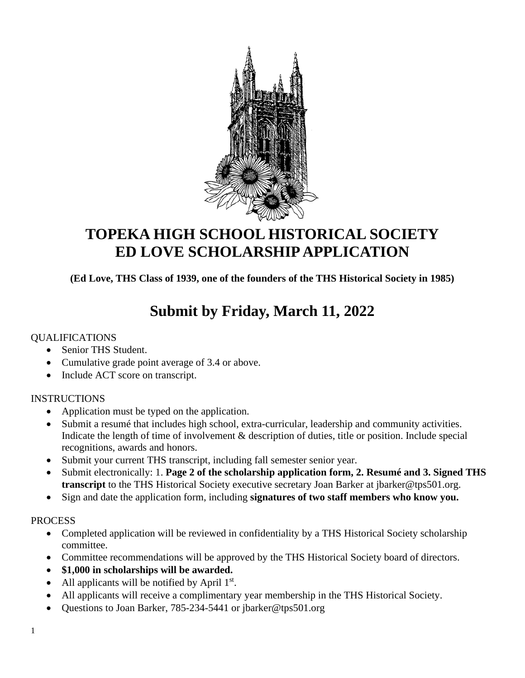

## **TOPEKA HIGH SCHOOL HISTORICAL SOCIETY ED LOVE SCHOLARSHIP APPLICATION**

**(Ed Love, THS Class of 1939, one of the founders of the THS Historical Society in 1985)**

# **Submit by Friday, March 11, 2022**

## QUALIFICATIONS

- Senior THS Student.
- Cumulative grade point average of 3.4 or above.
- Include ACT score on transcript.

## INSTRUCTIONS

- Application must be typed on the application.
- Submit a resumé that includes high school, extra-curricular, leadership and community activities. Indicate the length of time of involvement & description of duties, title or position. Include special recognitions, awards and honors.
- Submit your current THS transcript, including fall semester senior year.
- Submit electronically: 1. **Page 2 of the scholarship application form, 2. Resumé and 3. Signed THS transcript** to the THS Historical Society executive secretary Joan Barker at jbarker@tps501.org.
- Sign and date the application form, including **signatures of two staff members who know you.**

#### PROCESS

- Completed application will be reviewed in confidentiality by a THS Historical Society scholarship committee.
- Committee recommendations will be approved by the THS Historical Society board of directors.
- **\$1,000 in scholarships will be awarded.**
- All applicants will be notified by April  $1<sup>st</sup>$ .
- All applicants will receive a complimentary year membership in the THS Historical Society.
- Questions to Joan Barker, 785-234-5441 or jbarker@tps501.org